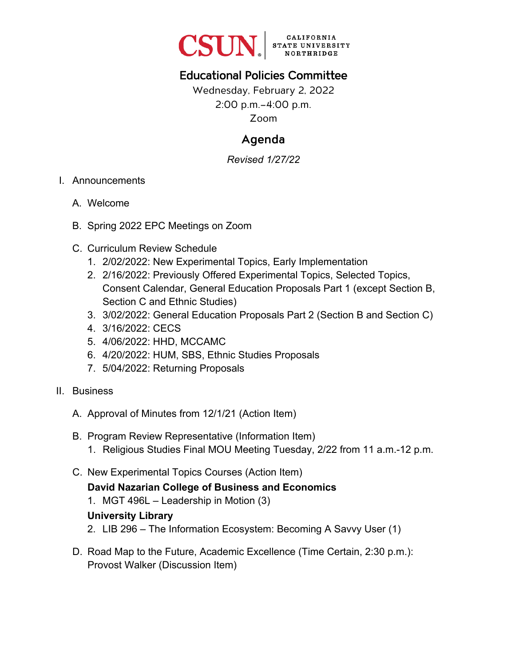

# Educational Policies Committee

Wednesday, February 2, 2022 2:00 p.m.–4:00 p.m. Zoom

# Agenda

*Revised 1/27/22* 

- I. Announcements
	- A. Welcome
	- B. Spring 2022 EPC Meetings on Zoom
	- C. Curriculum Review Schedule
		- 1. 2/02/2022: New Experimental Topics, Early Implementation
		- 2. 2/16/2022: Previously Offered Experimental Topics, Selected Topics, Consent Calendar, General Education Proposals Part 1 (except Section B, Section C and Ethnic Studies)
		- 3. 3/02/2022: General Education Proposals Part 2 (Section B and Section C)
		- 4. 3/16/2022: CECS
		- 5. 4/06/2022: HHD, MCCAMC
		- 6. 4/20/2022: HUM, SBS, Ethnic Studies Proposals
		- 7. 5/04/2022: Returning Proposals
- II. Business
	- A. Approval of Minutes from 12/1/21 (Action Item)
	- B. Program Review Representative (Information Item)
		- 1. Religious Studies Final MOU Meeting Tuesday, 2/22 from 11 a.m.-12 p.m.
	- C. New Experimental Topics Courses (Action Item)

# **David Nazarian College of Business and Economics**

1. MGT 496L – Leadership in Motion (3)

#### **University Library**

- 2. LIB 296 The Information Ecosystem: Becoming A Savvy User (1)
- D. Road Map to the Future, Academic Excellence (Time Certain, 2:30 p.m.): Provost Walker (Discussion Item)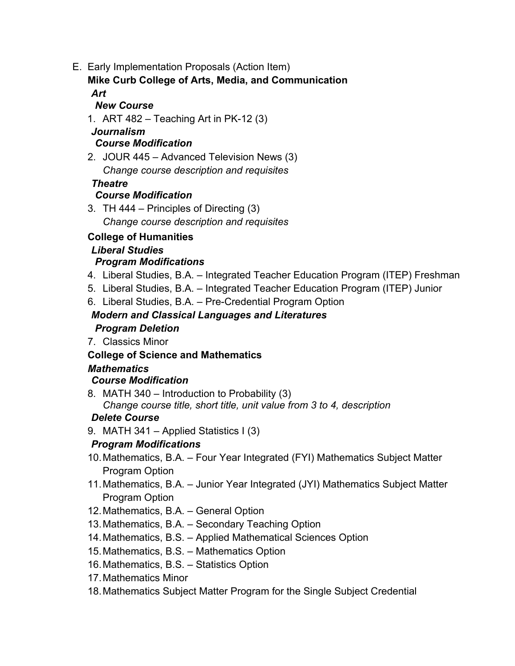E. Early Implementation Proposals (Action Item)

#### **Mike Curb College of Arts, Media, and Communication**  *Art*

#### *New Course*

1. ART 482 – Teaching Art in PK-12 (3)

#### *Journalism Course Modification*

2. JOUR 445 – Advanced Television News (3) *Change course description and requisites*

#### *Theatre*

## *Course Modification*

3. TH 444 – Principles of Directing (3) *Change course description and requisites*

# **College of Humanities**

# *Liberal Studies*

# *Program Modifications*

- 4. Liberal Studies, B.A. Integrated Teacher Education Program (ITEP) Freshman
- 5. Liberal Studies, B.A. Integrated Teacher Education Program (ITEP) Junior
- 6. Liberal Studies, B.A. Pre-Credential Program Option

# *Modern and Classical Languages and Literatures*

## *Program Deletion*

7. Classics Minor

## **College of Science and Mathematics**

## *Mathematics*

## *Course Modification*

8. MATH 340 – Introduction to Probability (3) *Change course title, short title, unit value from 3 to 4, description*

# *Delete Course*

9. MATH 341 – Applied Statistics I (3)

# *Program Modifications*

- 10. Mathematics, B.A. Four Year Integrated (FYI) Mathematics Subject Matter Program Option
- 11. Mathematics, B.A. Junior Year Integrated (JYI) Mathematics Subject Matter Program Option
- 12. Mathematics, B.A. General Option
- 13. Mathematics, B.A. Secondary Teaching Option
- 14. Mathematics, B.S. Applied Mathematical Sciences Option
- 15. Mathematics, B.S. Mathematics Option
- 16. Mathematics, B.S. Statistics Option
- 17. Mathematics Minor
- 18. Mathematics Subject Matter Program for the Single Subject Credential